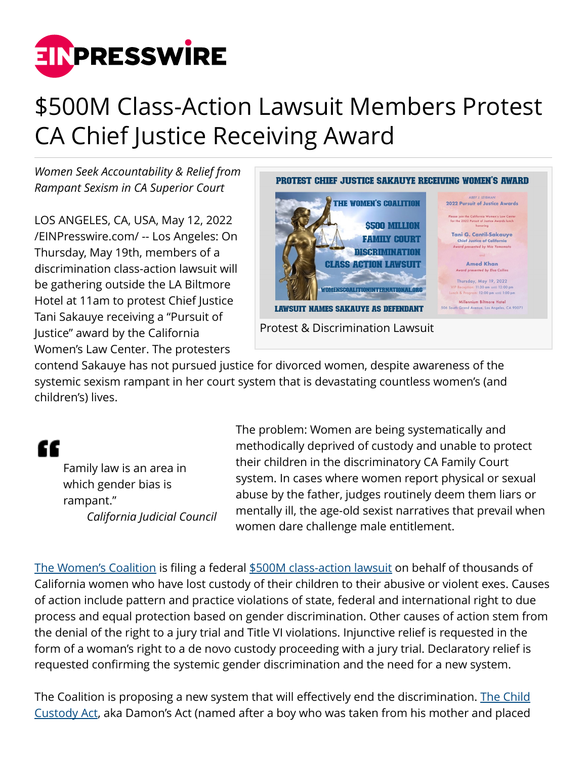

## \$500M Class-Action Lawsuit Members Protest CA Chief Justice Receiving Award

*Women Seek Accountability & Relief from Rampant Sexism in CA Superior Court*

LOS ANGELES, CA, USA, May 12, 2022 [/EINPresswire.com/](http://www.einpresswire.com) -- Los Angeles: On Thursday, May 19th, members of a discrimination class-action lawsuit will be gathering outside the LA Biltmore Hotel at 11am to protest Chief Justice Tani Sakauye receiving a "Pursuit of Justice" award by the California Women's Law Center. The protesters



contend Sakauye has not pursued justice for divorced women, despite awareness of the systemic sexism rampant in her court system that is devastating countless women's (and children's) lives.

## "

Family law is an area in which gender bias is rampant." *California Judicial Council* The problem: Women are being systematically and methodically deprived of custody and unable to protect their children in the discriminatory CA Family Court system. In cases where women report physical or sexual abuse by the father, judges routinely deem them liars or mentally ill, the age-old sexist narratives that prevail when women dare challenge male entitlement.

[The Women's Coalition](http://www.womenscoalitioninternational.org/) is filing a federal [\\$500M class-action lawsuit](https://womenscoalition.substack.com/p/500m-family-court-discrimination) on behalf of thousands of California women who have lost custody of their children to their abusive or violent exes. Causes of action include pattern and practice violations of state, federal and international right to due process and equal protection based on gender discrimination. Other causes of action stem from the denial of the right to a jury trial and Title VI violations. Injunctive relief is requested in the form of a woman's right to a de novo custody proceeding with a jury trial. Declaratory relief is requested confirming the systemic gender discrimination and the need for a new system.

The Coalition is proposing a new system that will effectively end the discrimination. [The Child](https://www.womenscoalitioninternational.org/enact-child-custody-act.html) [Custody Act](https://www.womenscoalitioninternational.org/enact-child-custody-act.html), aka Damon's Act (named after a boy who was taken from his mother and placed